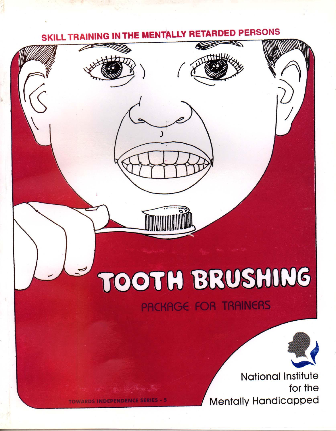# SKILL TRAINING IN THE MENTALLY RETARDED PERSONS



**TOWARDS INDEPENDENCE SERIES - 5** 

PACKAGE FOR TRAINERS



**National Institute** for the Mentally Handicapped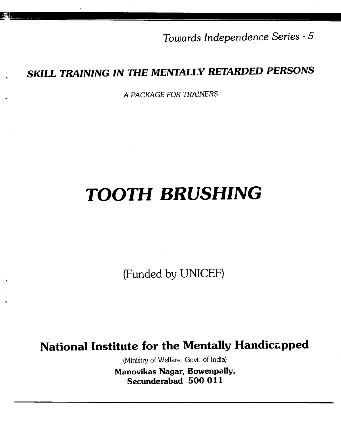Towards Independence Series -5

# SKILL TRAINING IN THE MENTALLY RETARDED PERSONS

A PACKAGE FOR TRAINERS

# TOOTH BRUSHING

(Funded by UNICEF)

**f** 

# National Institute for the Mentally Handicapped

(Ministry of Welfare, Govt. of India) Manovikas Nagar, Bowenpally, Secunderabad 500 011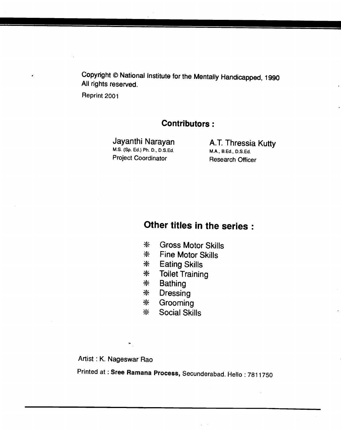Copyright © National Institute for the Mentally Handicapped, 1990 All rights reserved.

Reprint 2001

### Contributors:

M.S. (Sp. Ed.) Ph. D., D.S.Ed. Project Coordinator Research Officer

Jayanthi Narayan **A.T. Thressia Kutty**<br>M.S. (Sp. Ed.) Ph. D., D.S.Ed. **M.A., B.Ed., D.S.Ed.** 

### Other titles in the series:

- \* Gross Motor Skills
- **\* Fine Motor Skills**<br>**\* Eating Skills**
- **Eating Skills**
- \* Toilet Training
- \* Bathing<br>\* Dressine
- \* Dressing<br>\* Grooming
- **\* Grooming**<br>**\* Social Skil**
- Social Skills

Artist : K. Nageswar Rao

 $\star_{\mathbb{Z}}$ 

Printed at : Sree Ramana Process, Secunderabad. Hello : 7811750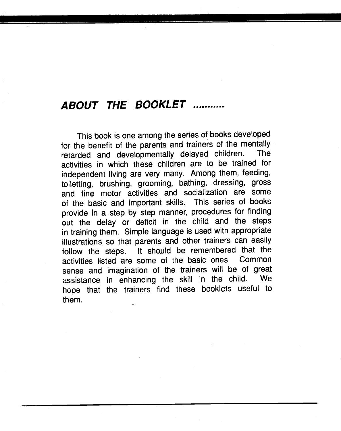# ABOUT THE BOOKLET

This book is one among the series of books developed for the benefit of the parents and trainers of the mentally<br>retarded and developmentally delayed children. The retarded and developmentally delayed children. activities in which these children are to be trained for independent living are very many. Among them, feeding,<br>toiletting, brushing, grooming, bathing, dressing, gross and fine motor activities and socialization are some of the basic and important skills. This series of books<br>provide in a step by step manner, procedures for finding out the delay or deficit in the child and the steps in training them. Simple language is used with appropriate illustrations so that parents and other trainers can easily follow the steps. It should be remembered that the activities listed are some of the basic ones. Common sense and imagination of the trainers will be of great<br>assistance in enhancing the skill in the child. We assistance in enhancing the skill in the child. hope that the trainers find these booklets useful to them.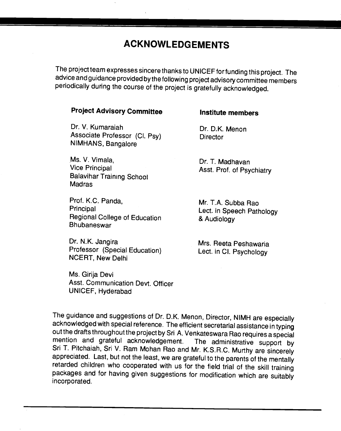## ACKNOWLEDGEMENTS

The project team expresses sincere thanks to UNICEF for funding this project. The advice and guidance provided by the following project advisory committee members periodically during the course of the project is gratefully acknowledged.

#### Project Advisory Committee **Institute members**

Dr. V. Kumarajah Dr. D.K. Menon Associate Professor (Cl. Psy) Director NIMHANS, Bangàlore

Ms. V. Vimala, E. E. E. C. C. Dr. T. Madhavan<br>Vice Principal C. C. C. C. Asst. Prof. of Psy Balavihar Training School **Madras** 

Prof. K.C. Panda, Mr. T.A. Subba Rao<br>Principal dent in Speech Patt Regional College of Education & Audiology Bhubaneswar

Dr. N.K. Jangira Mrs. Reeta Peshawaria Professor (Special Education) Lect. in Cl. Psychology NCERT, New Delhi

Ms. Girija Devi Asst. Communication Devt. Officer UNICEF, Hyderabad

Asst. Prof. of Psychiatry

Lect. in Speech Pathology

The guidance and suggestions of Dr. D.K. Menon, Director, NIMH are especially acknowledged with special reference. The efficient secretarial assistance in typing out the drafts throughout the project by Sri A. Venkateswara packages and for having given suggestions for modification which are suitably incorporated.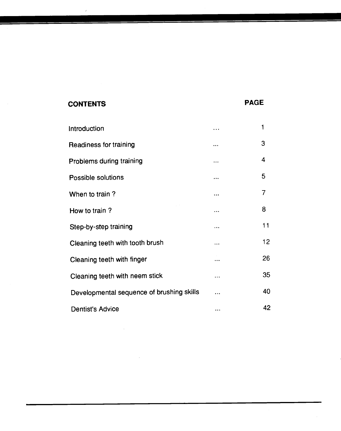### CONTENTS PAGE

| Introduction                              | $\cdots$  | 1  |  |
|-------------------------------------------|-----------|----|--|
| <b>Readiness for training</b>             | $\cdots$  | 3  |  |
| Problems during training                  | $\ddotsc$ | 4  |  |
| Possible solutions                        | $\cdots$  | 5  |  |
| When to train?                            | $\cdots$  | 7  |  |
| How to train?                             |           | 8  |  |
| Step-by-step training                     | $\ddotsc$ | 11 |  |
| Cleaning teeth with tooth brush           |           | 12 |  |
| Cleaning teeth with finger                |           | 26 |  |
| Cleaning teeth with neem stick            | $\ddotsc$ | 35 |  |
| Developmental sequence of brushing skills | $\cdots$  | 40 |  |
| <b>Dentist's Advice</b>                   | $\cdots$  | 42 |  |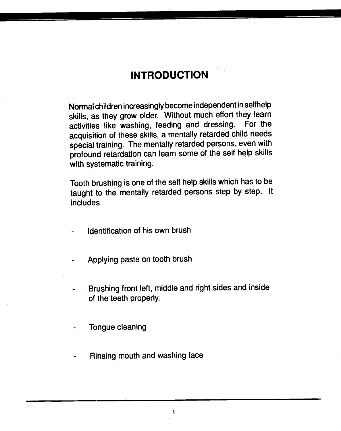# **INTRODUCTION**

<span id="page-6-0"></span>Normal children increasingly become independent in selfhelp skills, as they grow older. Without much effort they learn activities like washing, feeding and dressing. For the acquisition of these skills, a mentally retarded child needs special training. The mentally retarded persons, even with profound retardation can learn some of the self help skills with systematic training.

Tooth brushing is one of the self help skills which has to be taught to the mentally retarded persons step by step. It includes

- Identification of his own brush
- Applying paste on tooth brush
- Brushing front left, middle and right sides and inside of the teeth properly.
- Tongue cleaning
- Rinsing mouth and washing face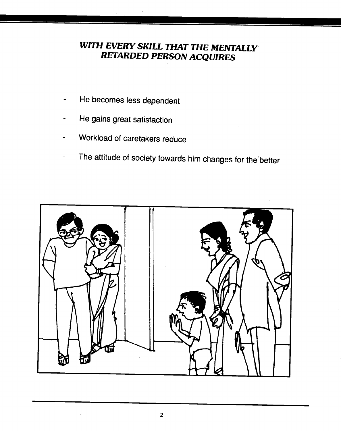### WITH EVERY SKILL THAT THE MENTALLY RETARDED PERSON ACQUIRES

- He becomes less dependent
- He gains great satisfaction
- Workload of caretakers reduce
- The attitude of society towards him changes for the better

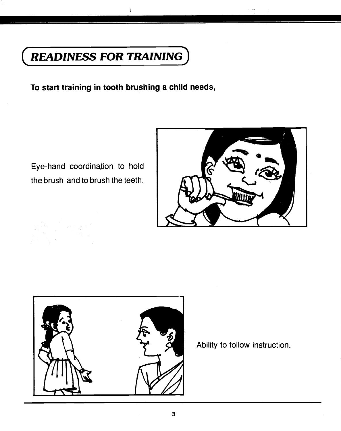# <span id="page-8-0"></span>READINESS FOR TRAINING

To start training in tooth brushing a child needs,

 $\mathbf{1}$ 

Eye-hand coordination to hold the brush and to brush the teeth.





Ability to follow instruction.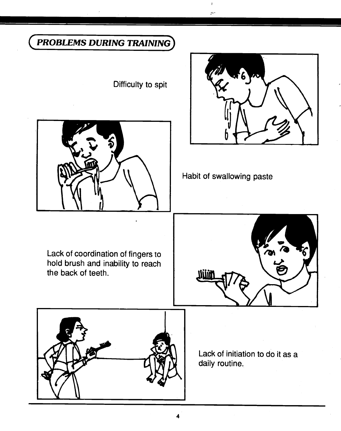## <span id="page-9-0"></span>PROBLEMS DURING TRAINING

Difficulty to spit





Habit of swallowing paste

j,  $\mathcal{P}^{\mu\nu}$ 

Lack of coordination of fingers to hold brush and inability to reach the back of teeth.



Lack of initiation to do it as a daily routine.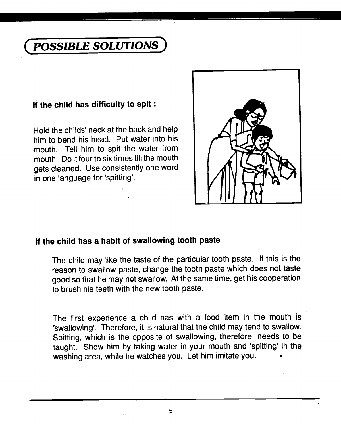# <span id="page-10-0"></span>POSSIBLE SOLUTIONS

### If the child has difficulty to spit:

Hold the childs' neck at the back and help him to bend his head. Put water into his mouth. Tell him to spit the water from mouth. Do it four to six times till the mouth gets cleaned. Use consistently one word in one language for 'spitting'.



### If the child has a habit of swallowing tooth paste

The child may like the taste of the particular tooth paste. If this is the reason to swallow paste, change the tooth paste which does not taste good so that he may not swallow. At the same time, get his cooperation to brush his teeth with the new tooth paste.

The first experience a child has with a food item in the mouth is 'swallowing'. Therefore, it is natural that the child may tend to swallow. Spitting, which is the opposite of swallowing, therefore, needs to be taught. Show him by taking water in your mouth and 'spitting' in the washing area, while he watches you. Let him imitate you.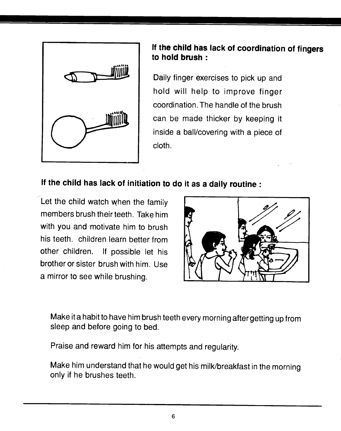

### If the child has lack of coordination of fingers to hold brush:

Daily finger exercises to pick up and hold will help to improve finger coordination. The handle of the brush can be made thicker by keeping it inside a ball/covering with a piece of cloth.

### If the child has lack of initiation to do it as a daily routine:

Let the child watch when the family members brush their teeth. Take him with you and motivate him to brush his teeth. children learn better from other children. If possible let his brother or sister brush with him. Use a mirror to see while brushing.



Make ita habit to have him brush teeth every morning after gettingup from sleep and before going to bed.

Praise and reward him for his attempts and regularity.

Make him understand that he would get his milk/breakfast in the morning only if he brushes teeth.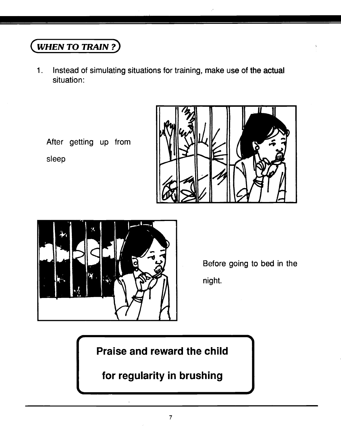# <span id="page-12-0"></span>(WHEN TO TRAIN?)

1. Instead of simulating situations for training, make use of the actual situation:

After getting up from || **\/||| \/-||** 

sleep





Before going to bed in the night.

-4

Praise and reward the child

for regularity in brushing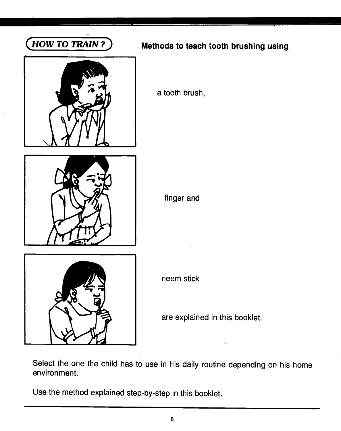

 $\frac{1}{2}$ 

# <span id="page-13-0"></span>(HOW TO TRAIN?) Methods to teach tooth brushing using

a tooth brush,



finger and



neem stick

are explained in this booklet.

Select the one the child has to use in his daily routine depending on his home environment.

Use the method explained step-by-step in this booklet.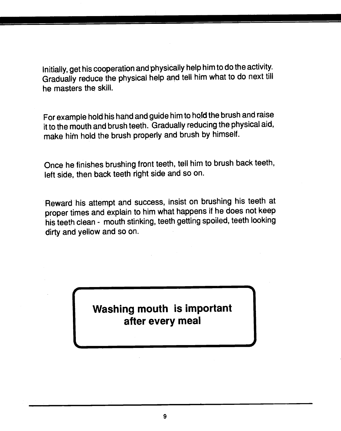Initially, get his cooperation and physically help him to do the activity. Gradually reduce the physical help and tell him what to do next till he masters the skill.

For example hold his hand and guide him to hold the brush andraise it to the mouth and brush teeth. Gradually reducing the physical aid, make him hold the brush properly and brush by himself.

Once he finishes brushing front teeth, tell him to brush back teeth, left side, then back teeth right side and so on.

Reward his attempt and success, insist on brushing his teeth at proper times and explain to him what happens if he does not keep his teeth clean - mouth stinking, teeth getting spoiled, teeth looking dirty and yellow and so on.

> Washing mouth is important after every meal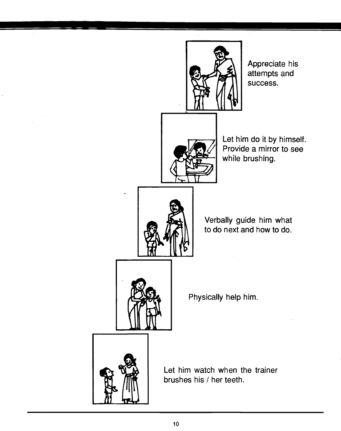

Appreciate his attempts and success.



Let him do it by himself. Provide a mirror to see while brushing.



Verbally guide him what to do next and how to do.



Physically help him.



Let him watch when the trainer brushes his / her teeth.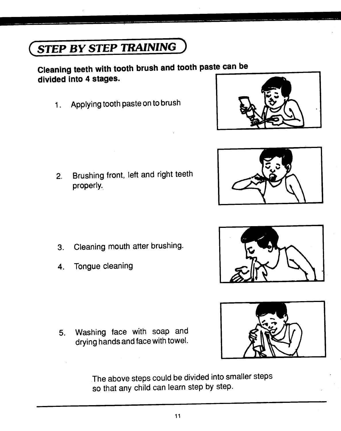The above steps could be divided into smaller steps

11

so that any child can learn step by step.

# <span id="page-16-0"></span>STEP BY STEP TRAINING

### Cleaning teeth with tooth brush and tooth paste can be divided into 4 stages.

1. Applying tooth paste on to brush

2. Brushing front, left and right teeth properly.

- 3. Cleaning mouth after brushing.
- 4. Tongue cleaning

5. Washing face with soap and drying hands and face with towel.







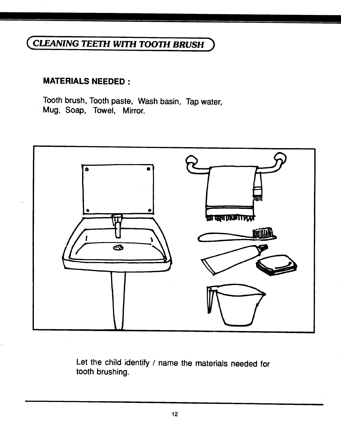## <span id="page-17-0"></span>CLEANING TEETH WITH TOOTH BRUSH

### MATERIALS NEEDED:

Tooth brush, Tooth paste, Wash basin, Tap water, Mug, Soap, Towel, Mirror.



Let the child identify / name the materials needed for tooth brushing.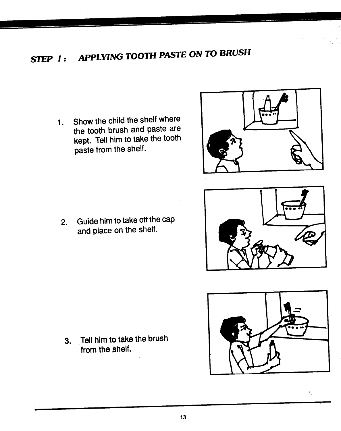# STEP I: APPLYING TOOTH PASTE ON TO BRUSH

1. Show the child the shelf where the tooth brush and paste are kept. Tell him to take the tooth paste from the shelf.



2. Guide him to take off the cap and place on the shelf.





3. Tell him to take the brush from the shelf.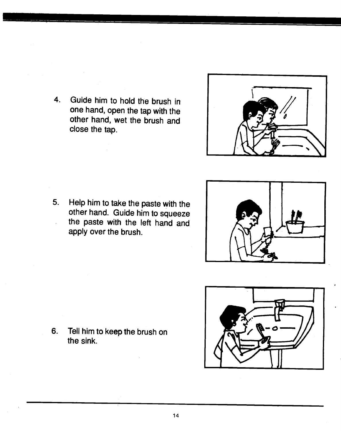4. Guide him to hold the brush in one hand, open the tap with the other hand, wet the brush and close the tap.



5. Help him to take the paste with the other hand. Guide him to squeeze the paste with the left hand and apply over the brush.



- 
- 6. Tell him to keep the brush on the sink.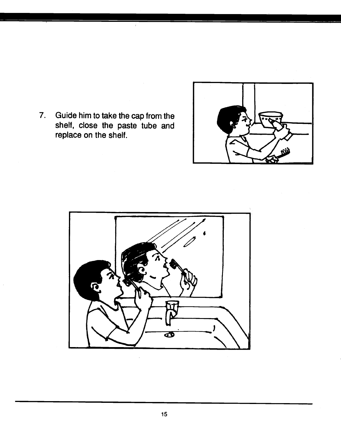7. Guide him to take the cap from the shelf, close the paste tube and replace on the shelf.

÷.



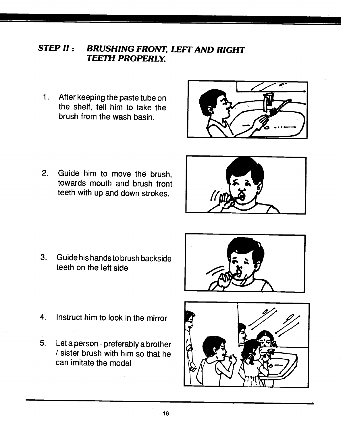### STEP II: BRUSHING FRONT, LEFT AND RIGHT TEETH PROPERLY.

1,. After keeping the paste tube on the shelf, tell him to take the brush from the wash basin.



2. Guide him to move the brush, towards mouth and brush front teeth with up and down strokes.



3. Guide his hands to brush backside teeth on the left side



- 4. Instruct him to look in the mirror
- 5. Let a person preferably a brother / sister brush with him so that he can imitate the model

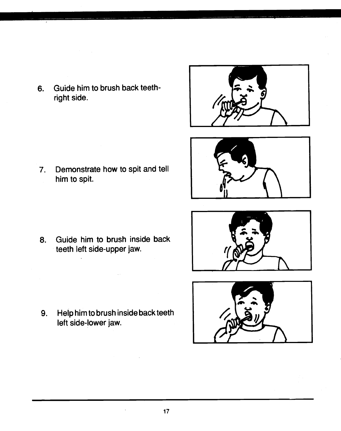6. Guide him to brush back teethright side.

7. Demonstrate how to spit and tell him to spit.

8. Guide him to brush inside back teeth left side-upper jaw.

9. Help him to brush inside back teeth left side-lower jaw.





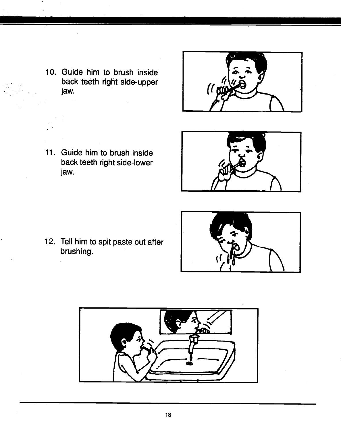10. Guide him to brush inside back teeth right side-upper jaw.

 $\frac{1}{2}$ 



- 11. Guide him to brush inside back teeth right side-lower jaw.
- 
- 12. Tell him to spit paste out after brushing.

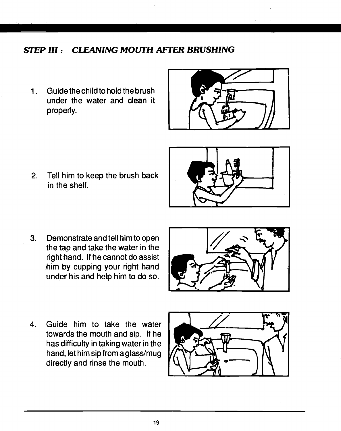### STEP III: CLEANING MOUTH AFTER BRUSHING

1. Guide the child to hold the brush under the water and dean it properly.



2. Tell him to keep the brush back in the shelf.



3. Demonstrate and tell him to open the tap and take the water in the right hand. If he cannot do assist him by cupping your right hand under his and help him to do so.



4. Guide him to take the water towards the mouth and sip. If he has difficulty in taking water in the hand, let him sip from a glass/mug directly and rinse the mouth.

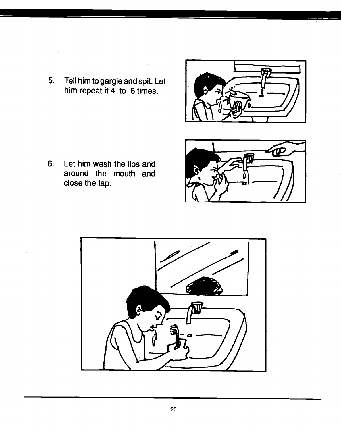5. Tell him to gargle and spit. Let him repeat it  $\overline{4}$  to 6 times.

6. Let him wash the lips and around the mouth and close the tap.





 $\hat{\mathcal{L}}$ 

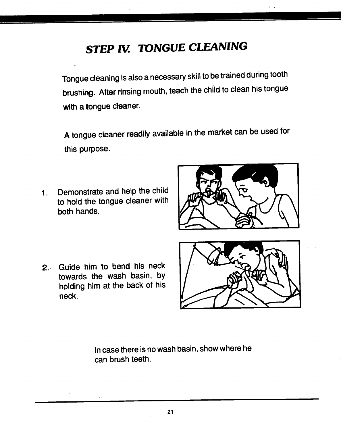# STEP IV. TONGUE CLEANING

Tongue cleaning is also a necessary skill tobe trained during tooth brushing. After rinsing mouth, teach the child to clean his tongue with a tongue cleaner.

A tongue cleaner readily available in the market can be used for this purpose.

Demonstrate and help the child  $1.1$ to hold the tongue cleaner with both hands.



2. Guide him to bend his neck towards the wash basin, by holding him at the back of his neck.



In case there is no wash basin, show where he can brush teeth.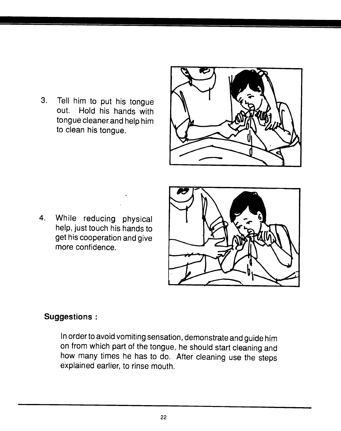3. Tell him to put his tongue out. Hold his hands with tongue cleaner and help him to clean his tongue.



4. While reducing physical help, just touch his hands to get his cooperation and give more confidence.



### Suggestions :

In order to avoid vomiting sensation, demonstrate andguide him on from which part of the tongue, he should start cleaning and how many times he has to do. After cleaning use the steps explained earlier, to rinse mouth.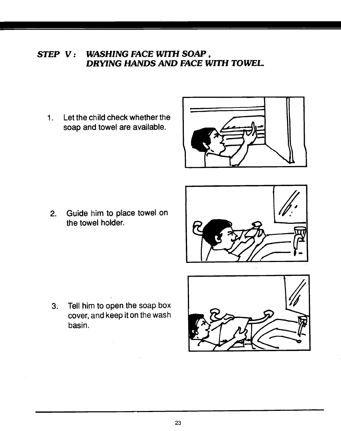### STEP V: WASHING FACE WITH SOAP, DRYING HANDS AND FACE WITH TOWEL

1. Let the child check whether the soap and towel are available.



2. Guide him to place towel on the towel holder.



3. Tell him to open the soap box cover, and keep it on the wash basin.

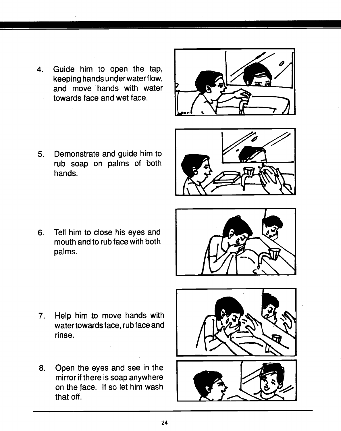4. Guide him to open the tap, keeping hands under water flow, and move hands with water towards face and wet face.



5. Demonstrate and guide him to rub soap on palms of both hands.



6. Tell him to close his eyes and mouth and to rub face with both palms.



- 7. Help him to move hands with water towards face, rub face and rinse.
- 8. Open the eyes and see in the mirror if there is soap anywhere on the face. If so let him wash that off.

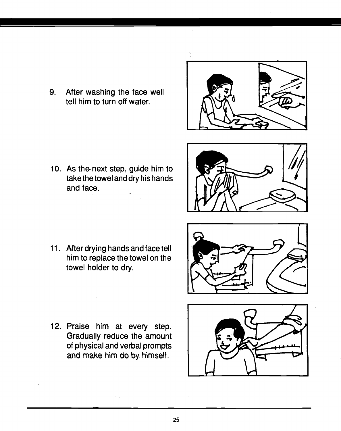9. After washing the face well tell him to turn off water.

- 10. As the next step, guide him to take the towel and dry his hands and face.
- 
- 11. After drying hands and face tell him to replace the towel on the towel holder to dry.



12. Praise him at every step. Gradually reduce the amount of physical and verbal prompts and make him do by himself.

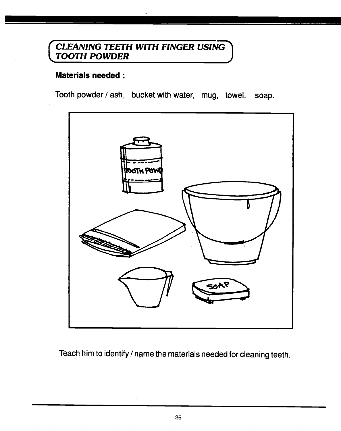# <span id="page-31-0"></span> $($  CLEANING TEETH WITH FINGER USING  $\,$ TOOTH POWDER

### Materials needed:

Tooth powder / ash, bucket with water, mug, towel, soap.



Teach him to identify / name the materials needed for cleaning teeth.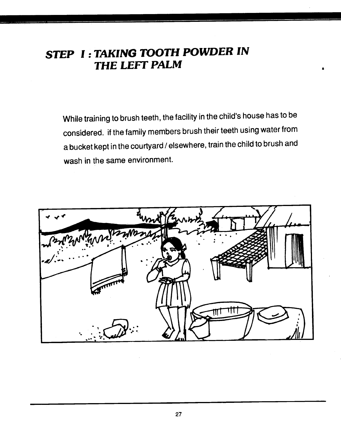# STEP I: TAKING TOOTH POWDER IN THE LEFT PALM

While training to brush teeth, the facility in the child's house has to be considered. if the family members brush their teeth using water from a bucket kept in the courtyard / elsewhere, train the child to brush and wash in the same environment.

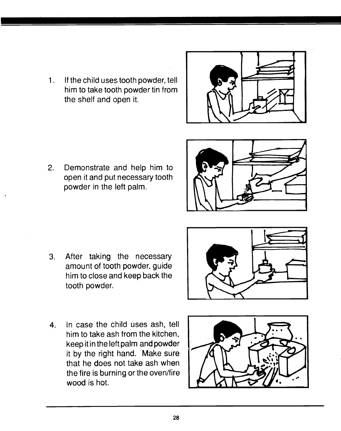1. If the child uses tooth powder, tell him to take tooth powder tin from the shelf and open it.



2. Demonstrate and help him to open it and put necessary tooth powder in the left palm.



3. After taking the necessary amount of tooth powder, guide him to close and keep back the tooth powder.



4. In case the child uses ash, tell him to take ash from the kitchen, keep itin the leftpalm and powder it by the right hand. Make sure that he does not take ash when the fire is burning or the oven/fire wood is hot.

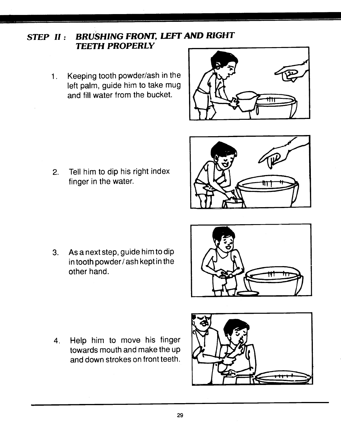### STEP II: BRUSHING FRONT, LEFT AND RIGHT TEETH PROPERLY

- 1. Keeping tooth powder/ash in the left palm, guide him to take mug and fill water from the bucket.
- 
- 2. Tell him to dip his right index finger in the water.

3. As a next step, guide him to dip in tooth powder/ash kept in the other hand.



4. Help him to move his finger towards mouth and make the up and down strokes on front teeth.

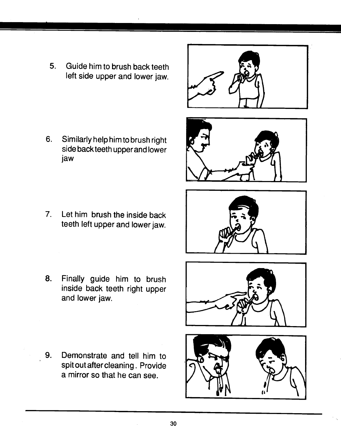5. Guide him to brush back teeth left side upper and lower jaw.

6. Similarly help him to brush right side back teeth upper and lower jaw

7. Let him brush the inside back teeth left upper and lower jaw.

8. Finally guide him to brush inside back teeth right upper and lower jaw.

9. Demonstrate and tell. him to spitoutaftercleaning. Provide a mirror so that he can see.









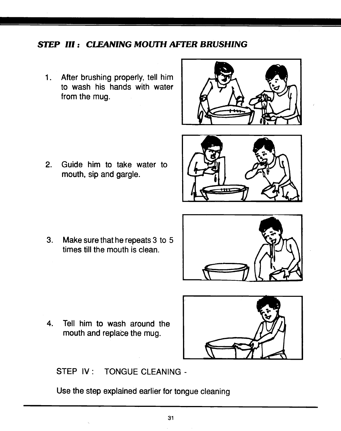### STEP III: CLEANING MOUTH AFTER BRUSHING

1. After brushing properly, tell him to wash his hands with water from the mug.

2. Guide him to take water to mouth, sip and gargle.





3. Make sure that he repeats 3 to 5 times till the mouth is clean.



4. Tell him to wash around the mouth and replace the mug.



STEP IV: TONGUE CLEANING -

Use the step explained earlier for tongue cleaning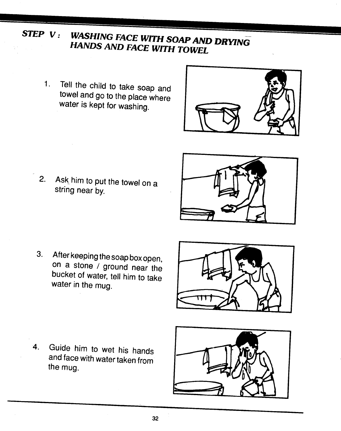- STEP V: WASHING FACE WITH SOAP AND DRYING<br>HANDS AND FACE WITH TOWEL
	- 1. Tell the child to take soap and<br>towel and go to the place where water is kept for washing.



2. Ask him to put the towel on a string near by.



3. After keeping the soap box open, on a stone / ground near the bucket of water, tell him to take water in the mug.



4. Guide him to wet his hands and face with water taken from the mug.

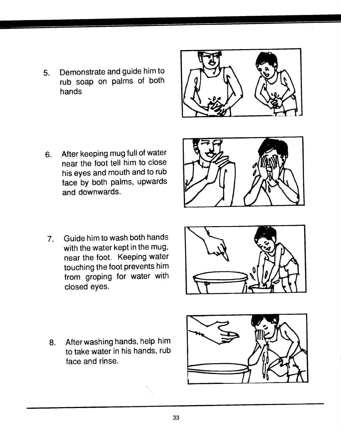5. Demonstrate and guide him to rub soap on palms of both hands



6. After keeping mug full of water near the foot tell him to close his eyes and mouth and to rub face by both palms, upwards and downwards.



7. Guide him to wash both hands with the water kept in the mug, near the foot. Keeping water touching the foot prevents him from groping for water with closed eyes.



8. After washing hands, help him to take water in his hands, rub face and rinse.

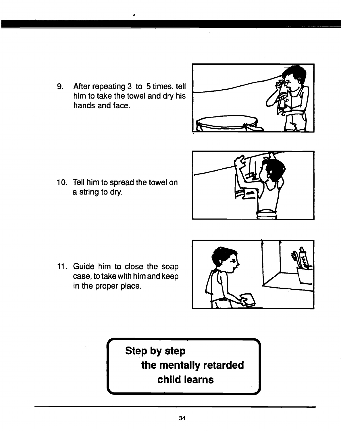9. After repeating 3 to 5 times, tell him to take the towel and dry his hands and face.



10. Tell him to spread the towel on a string to dry.



11. Guide him to close the soap case, to take with him and keep in the proper place.



-4

# Step by step the mentally retarded child learns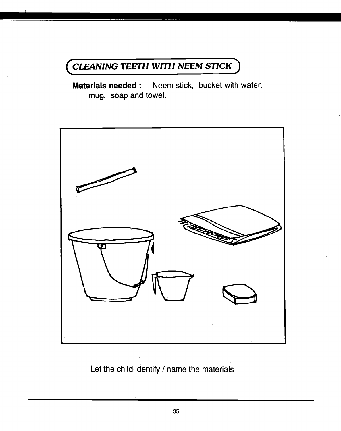## <span id="page-40-0"></span>CLEANING TEETH WITH NEEM STICK

**Materials needed:** Neem stick, bucket with water, mug, soap and towel.



Let the child identify / name the materials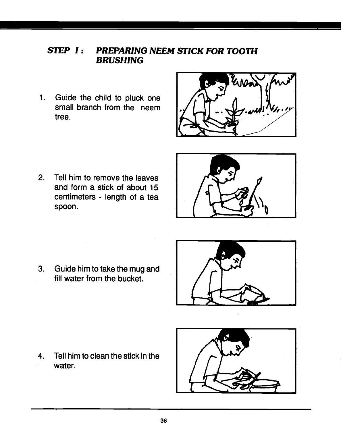### STEP I: PREPARING NEEM STICK FOR TOOTH BRUSHING

1. Guide the child to pluck one small branch from the neem tree.



2. Tell him to remove the leaves and form a stick of about 15 centimeters - length of a tea spoon.



3. Guide him to take the mug and fill water from the bucket.



4. Tell him to clean the stick in the water.

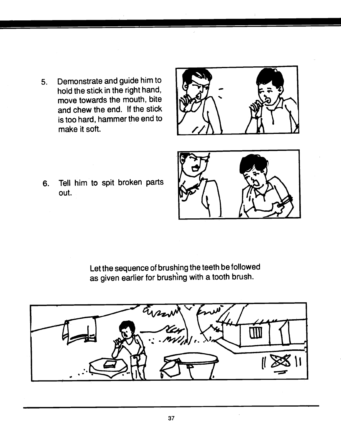5. Demonstrate and guide him to hold the stick in the right hand, move towards the mouth, bite and chew the end. If the stick is too hard, hammer the end to make it soft.



6. Tell him to spit broken parts out.



Let the sequence of brushing the teeth be followed as given earlier for brushing with a tooth brush.

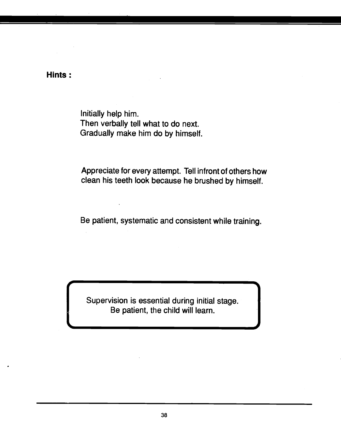Hints:

Initially help him. Then verbally tell what to do next. Gradually make him do by himself.

Appreciate for every attempt. Tell infront of others how clean his teeth look because he brushed by himself.

Be patient, systematic and consistent while training.

Supervision is essential during initial stage. Be patient, the child will learn.

-4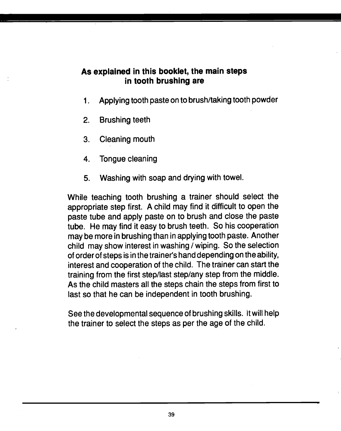#### As explained in this booklet, the main steps in tooth brushing are

- 1. Applying tooth paste on to brush/taking tooth powder
- 2. Brushing teeth
- 3. Cleaning mouth
- 4. Tongue cleaning
- 5. Washing with soap and drying with towel.

While teaching tooth brushing a trainer should select the appropriate step first. A child may find it difficult to open the paste tube and apply paste on to brush and close the paste tube. He may find it easy to brush teeth. So his cooperation may be more in brushing than in applying tooth paste. Another child may show interest in washing / wiping. So the selection of order of steps is in the trainer's hand depending on the ability, interest and cooperation of the child. The trainer can start the training from the first step/last step/any step from the middle. As the child masters all the steps chain the steps from first to last so that he can be independent in tooth brushing.

See the developmental sequence of brushing skills. It will help the trainer to select the steps as per the age of the child.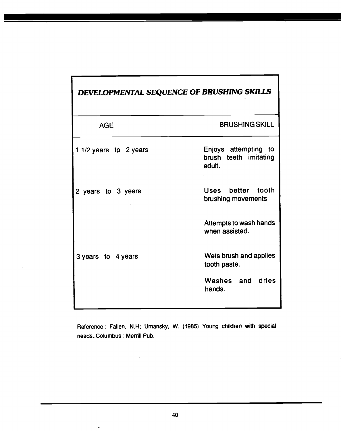<span id="page-45-0"></span>

| DEVELOPMENTAL SEQUENCE OF BRUSHING SKILLS |                                                         |  |
|-------------------------------------------|---------------------------------------------------------|--|
| <b>AGE</b>                                | <b>BRUSHING SKILL</b>                                   |  |
| 1 1/2 years to 2 years                    | Enjoys attempting to<br>brush teeth imitating<br>adult. |  |
| 2 years to 3 years                        | Uses better tooth<br>brushing movements                 |  |
|                                           | Attempts to wash hands<br>when assisted.                |  |
| 3 years to 4 years                        | Wets brush and applies<br>tooth paste.                  |  |
|                                           | Washes and dries<br>hands.                              |  |

1

Reference: Fallen, N.H; Umansky, W. (1985) Young children with special needs. Columbus : Merrill Pub.

 $\ddot{\phantom{1}}$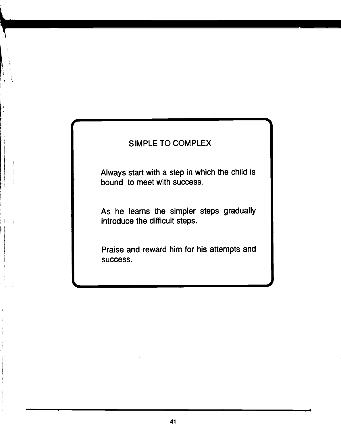### SIMPLE TO COMPLEX

Always start with a step in which the child is bound to meet with success.

As he learns the simpler steps gradually introduce the difficult steps.

Praise and reward him for his attempts and success.